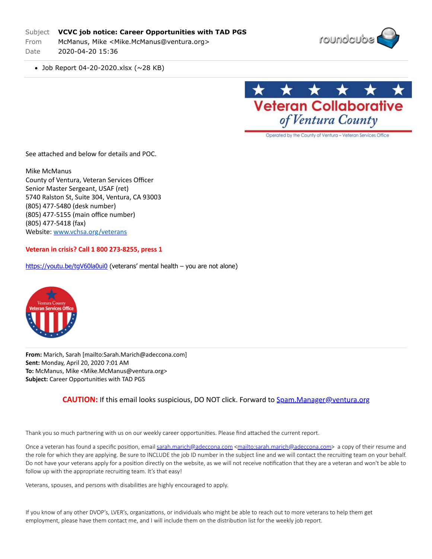## Subject **VCVC job notice: Career Opportunities with TAD PGS**

From McManus, Mike <Mike.McManus@ventura.org> Date 2020-04-20 15:36



Job Report 04-20-2020.xlsx (~28 KB)



Operated by the County of Ventura - Veteran Services Office

See attached and below for details and POC.

Mike McManus County of Ventura, Veteran Services Officer Senior Master Sergeant, USAF (ret) 5740 Ralston St, Suite 304, Ventura, CA 93003 (805) 477-5480 (desk number) (805) 477-5155 (main office number) (805) 477-5418 (fax) Website: [www.vchsa.org/veterans](http://secure-web.cisco.com/1PZ-Gz-n9oOw5Yu0qLptTYOr8sCJNtrNZI2BTfb2hHgid-Km6fRUCjkU6nyja1e5t2vVeBC_SCP2jO4r1VdNcHdfrCHAhNNunbUO-6QWspAkFKVxQwS9SiuWk65QDJbGPEFJNr_lU43LAaMRcfPomisIEqWlP_22UobVwdHuju3b5mRWPD8EVw0ZtwuRal9MhQVMfyjVW0MnW9ilXaE6dS6PqQ0IkyDCTWsTS67J-TcvcaQuVEjthgsv4AjGMjVtsR-aWGVkwZRiG7Qs4fd3ckUQoVB-3-NtAas8vO8KAwxg8deZWeyiwXSdJSqQp9cSllvSvdyPC5-jz_8XJ6tFoHOP2cYpEC2V0qQfvj-mwgxmFoJJ7bW355foPkXb0NszBthW0SSN0GQHLd2l8LJjIdEWiLy9rnYkXzJjqbhx4LX52oaMQ-LhXZFGfH3dWNY-sJazfKMqvBDUsCNS1q20R5tb-6qps_RfvsWYm1gUc8_uRhqigljPd0341eeb7Dcwo/http%3A%2F%2Fwww.vchsa.org%2Fveterans)

## **Veteran in crisis? Call 1 800 273-8255, press 1**

<https://youtu.be/tgV60la0ui0>(veterans' mental health - you are not alone)



**From:** Marich, Sarah [mailto:Sarah.Marich@adeccona.com] **Sent:** Monday, April 20, 2020 7:01 AM **To:** McManus, Mike <Mike.McManus@ventura.org> Subject: Career Opportunities with TAD PGS

## **CAUTION:** If this email looks suspicious, DO NOT click. Forward to **[Spam.Manager@ventura.org](mailto:Spam.Manager@ventura.org)**

Thank you so much partnering with us on our weekly career opportunities. Please find attached the current report.

Once a veteran has found a specific position, email [sarah.marich@adeccona.com](mailto:sarah.marich@adeccona.com) <[mailto:sarah.marich@adeccona.com>](mailto:sarah.marich@adeccona.com) a copy of their resume and the role for which they are applying. Be sure to INCLUDE the job ID number in the subject line and we will contact the recruiting team on your behalf. Do not have your veterans apply for a position directly on the website, as we will not receive notification that they are a veteran and won't be able to follow up with the appropriate recruiting team. It's that easy!

Veterans, spouses, and persons with disabilities are highly encouraged to apply.

If you know of any other DVOP's, LVER's, organizations, or individuals who might be able to reach out to more veterans to help them get employment, please have them contact me, and I will include them on the distribution list for the weekly job report.